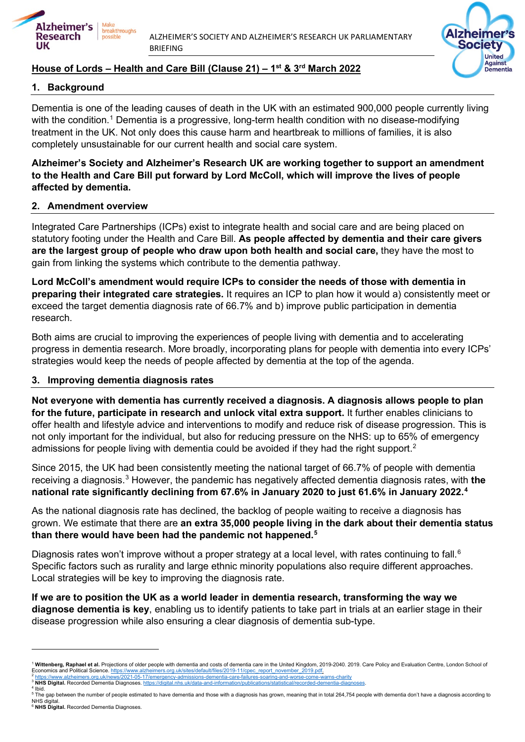

ALZHEIMER'S SOCIETY AND ALZHEIMER'S RESEARCH UK PARLIAMENTARY BRIEFING

Alzheimer's

**United Against** Dementia

**Society** 

# **House of Lords – Health and Care Bill (Clause 21) – 1st & 3rd March 2022**

### **1. Background**

Dementia is one of the leading causes of death in the UK with an estimated 900,000 people currently living with the condition.<sup>[1](#page-0-0)</sup> Dementia is a progressive, long-term health condition with no disease-modifying treatment in the UK. Not only does this cause harm and heartbreak to millions of families, it is also completely unsustainable for our current health and social care system.

### **Alzheimer's Society and Alzheimer's Research UK are working together to support an amendment to the Health and Care Bill put forward by Lord McColl, which will improve the lives of people affected by dementia.**

#### **2. Amendment overview**

Integrated Care Partnerships (ICPs) exist to integrate health and social care and are being placed on statutory footing under the Health and Care Bill. **As people affected by dementia and their care givers are the largest group of people who draw upon both health and social care,** they have the most to gain from linking the systems which contribute to the dementia pathway.

**Lord McColl's amendment would require ICPs to consider the needs of those with dementia in preparing their integrated care strategies.** It requires an ICP to plan how it would a) consistently meet or exceed the target dementia diagnosis rate of 66.7% and b) improve public participation in dementia research.

Both aims are crucial to improving the experiences of people living with dementia and to accelerating progress in dementia research. More broadly, incorporating plans for people with dementia into every ICPs' strategies would keep the needs of people affected by dementia at the top of the agenda.

#### **3. Improving dementia diagnosis rates**

**Not everyone with dementia has currently received a diagnosis. A diagnosis allows people to plan for the future, participate in research and unlock vital extra support.** It further enables clinicians to offer health and lifestyle advice and interventions to modify and reduce risk of disease progression. This is not only important for the individual, but also for reducing pressure on the NHS: up to 65% of emergency admissions for people living with dementia could be avoided if they had the right support. $^{\text{2}}$  $^{\text{2}}$  $^{\text{2}}$ 

Since 2015, the UK had been consistently meeting the national target of 66.7% of people with dementia receiving a diagnosis.[3](#page-0-2) However, the pandemic has negatively affected dementia diagnosis rates, with **the national rate significantly declining from 67.6% in January 2020 to just 61.6% in January 2022.[4](#page-0-3)**

As the national diagnosis rate has declined, the backlog of people waiting to receive a diagnosis has grown. We estimate that there are **an extra 35,000 people living in the dark about their dementia status than there would have been had the pandemic not happened. [5](#page-0-4)**

Diagnosis rates won't improve without a proper strategy at a local level, with rates continuing to fall.<sup>[6](#page-0-5)</sup> Specific factors such as rurality and large ethnic minority populations also require different approaches. Local strategies will be key to improving the diagnosis rate.

**If we are to position the UK as a world leader in dementia research, transforming the way we diagnose dementia is key**, enabling us to identify patients to take part in trials at an earlier stage in their disease progression while also ensuring a clear diagnosis of dementia sub-type.

- <span id="page-0-4"></span><span id="page-0-3"></span>NHS digital
- <span id="page-0-5"></span><sup>6</sup> **NHS Digital.** Recorded Dementia Diagnoses.

<span id="page-0-0"></span><sup>&</sup>lt;sup>1</sup> Wittenberg, Raphael et al. Projections of older people with dementia and costs of dementia care in the United Kingdom, 2019-2040. 2019. Care Policy and Evaluation Centre, London School of<br>Economics and Political Scienc Economics and Political Science. <u>https://www.alzheimers.org.uk/sites/default/files/2019-11/cpec\_report\_november\_2019.pdf,<br><sup>2</sup> <u>https://www.alzheimers.org.uk/news/2021-05-17/emergency-admissions-dementia-care-failures-soar</u></u>

<span id="page-0-2"></span><span id="page-0-1"></span>